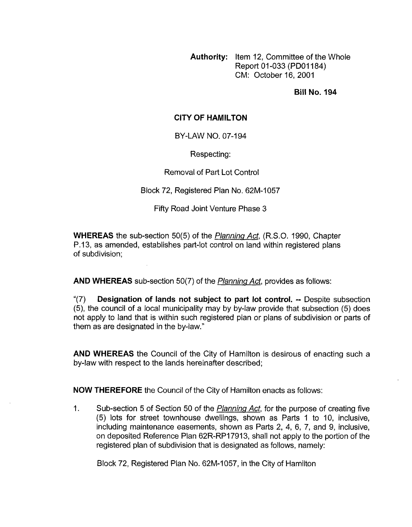**Authority:** Item 12, Committee of the Whole Report 01-033 (PDOI 184) CM: October 16,2001

**Bill No. 194** 

## **CITY OF HAMILTON**

BY-LAW NO. 07-194

Respecting:

Removal of Part Lot Control

Block 72, Registered Plan No. 62M-1057

Fifty Road Joint Venture Phase 3

**WHEREAS** the sub-section 50(5) of the *Planning Act,* (R.S.O. 1990, Chapter P.13, as amended, establishes part-lot control on land within registered plans of subdivision;

**AND WHEREAS** sub-section 50(7) of the *Planninq Act,* provides as follows:

"(7) **Designation of lands not subject to part lot control.** -- Despite subsection *(5),* the council of a local municipality may by by-law provide that subsection (5) does not apply to land that is within such registered plan or plans of subdivision or parts of them as are designated in the by-law.''

**AND WHEREAS** the Council of the City of Hamilton is desirous of enacting such a by-law with respect to the lands hereinafter described;

**NOW THEREFORE** the Council of the City of Hamilton enacts as follows:

1. Sub-section 5 of Section 50 of the *Planning Act,* for the purpose of creating five (5) lots for street townhouse dwellings, shown as Parts 1 to 10, inclusive, including maintenance easements, shown as Parts 2, 4, 6, 7, and 9, inclusive, on deposited Reference Plan 62R-RP17913, shall not apply to the portion of the registered plan of subdivision that is designated as follows, namely:

Block 72, Registered Plan No. 62M-1057, in the City of Hamilton